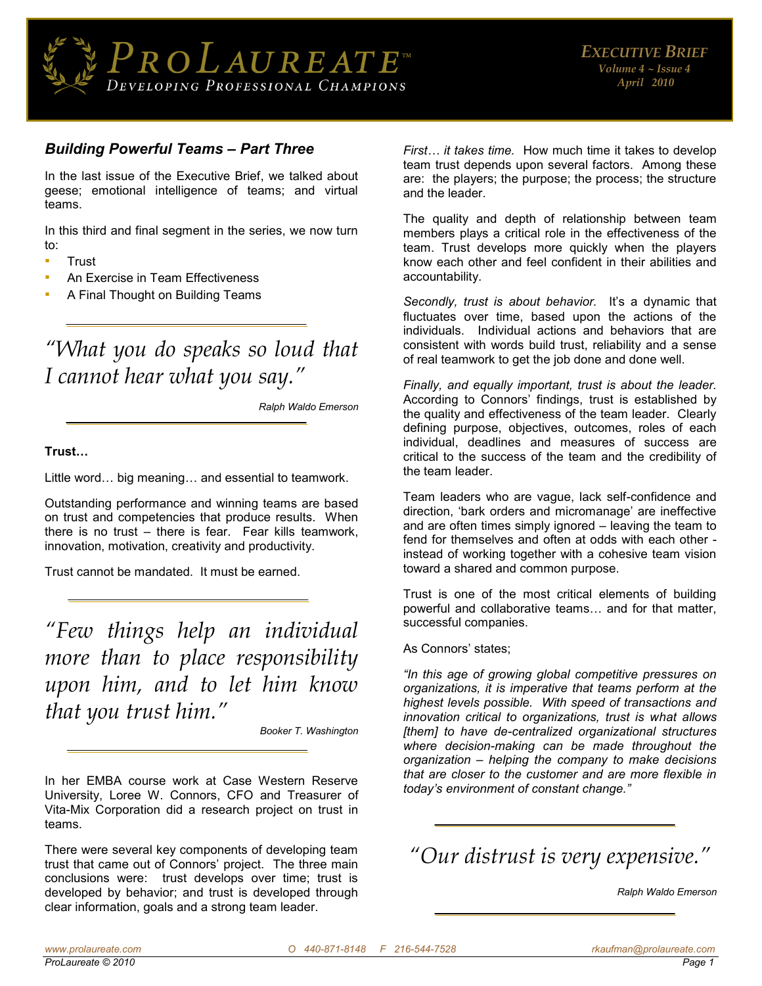

### *Building Powerful Teams – Part Three*

In the last issue of the Executive Brief, we talked about geese; emotional intelligence of teams; and virtual teams.

In this third and final segment in the series, we now turn to:

- **Trust**
- An Exercise in Team Effectiveness
- A Final Thought on Building Teams

# *"What you do speaks so loud that I cannot hear what you say."*

*Ralph Waldo Emerson* 

#### **Trust…**

Little word… big meaning… and essential to teamwork.

Outstanding performance and winning teams are based on trust and competencies that produce results. When there is no trust – there is fear. Fear kills teamwork, innovation, motivation, creativity and productivity.

Trust cannot be mandated. It must be earned.

*"Few things help an individual more than to place responsibility upon him, and to let him know that you trust him."*

*Booker T. Washington* 

In her EMBA course work at Case Western Reserve University, Loree W. Connors, CFO and Treasurer of Vita-Mix Corporation did a research project on trust in teams.

There were several key components of developing team trust that came out of Connors' project. The three main conclusions were: trust develops over time; trust is developed by behavior; and trust is developed through clear information, goals and a strong team leader.

*First… it takes time.* How much time it takes to develop team trust depends upon several factors. Among these are: the players; the purpose; the process; the structure and the leader.

The quality and depth of relationship between team members plays a critical role in the effectiveness of the team. Trust develops more quickly when the players know each other and feel confident in their abilities and accountability.

*Secondly, trust is about behavior.* It's a dynamic that fluctuates over time, based upon the actions of the individuals. Individual actions and behaviors that are consistent with words build trust, reliability and a sense of real teamwork to get the job done and done well.

*Finally, and equally important, trust is about the leader.* According to Connors' findings, trust is established by the quality and effectiveness of the team leader. Clearly defining purpose, objectives, outcomes, roles of each individual, deadlines and measures of success are critical to the success of the team and the credibility of the team leader.

Team leaders who are vague, lack self-confidence and direction, 'bark orders and micromanage' are ineffective and are often times simply ignored – leaving the team to fend for themselves and often at odds with each other instead of working together with a cohesive team vision toward a shared and common purpose.

Trust is one of the most critical elements of building powerful and collaborative teams… and for that matter, successful companies.

As Connors' states;

*"In this age of growing global competitive pressures on organizations, it is imperative that teams perform at the highest levels possible. With speed of transactions and innovation critical to organizations, trust is what allows [them] to have de-centralized organizational structures where decision-making can be made throughout the organization – helping the company to make decisions that are closer to the customer and are more flexible in today's environment of constant change."*

*"Our distrust is very expensive."*

*Ralph Waldo Emerson*